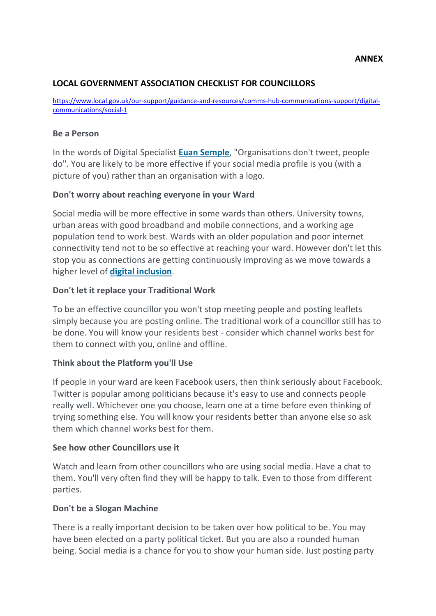### **LOCAL GOVERNMENT ASSOCIATION CHECKLIST FOR COUNCILLORS**

[https://www.local.gov.uk/our-support/guidance-and-resources/comms-hub-communications-support/digital](https://www.local.gov.uk/our-support/guidance-and-resources/comms-hub-communications-support/digital-communications/social-1)[communications/social-1](https://www.local.gov.uk/our-support/guidance-and-resources/comms-hub-communications-support/digital-communications/social-1)

### **Be a Person**

In the words of Digital Specialist **[Euan Semple](http://euansemple.com/)**, "Organisations don't tweet, people do". You are likely to be more effective if your social media profile is you (with a picture of you) rather than an organisation with a logo.

### **Don't worry about reaching everyone in your Ward**

Social media will be more effective in some wards than others. University towns, urban areas with good broadband and mobile connections, and a working age population tend to work best. Wards with an older population and poor internet connectivity tend not to be so effective at reaching your ward. However don't let this stop you as connections are getting continuously improving as we move towards a higher level of **[digital inclusion](https://www.local.gov.uk/our-support/efficiency-and-income-generation/digitalisation)**.

### **Don't let it replace your Traditional Work**

To be an effective councillor you won't stop meeting people and posting leaflets simply because you are posting online. The traditional work of a councillor still has to be done. You will know your residents best - consider which channel works best for them to connect with you, online and offline.

### **Think about the Platform you'll Use**

If people in your ward are keen Facebook users, then think seriously about Facebook. Twitter is popular among politicians because it's easy to use and connects people really well. Whichever one you choose, learn one at a time before even thinking of trying something else. You will know your residents better than anyone else so ask them which channel works best for them.

### **See how other Councillors use it**

Watch and learn from other councillors who are using social media. Have a chat to them. You'll very often find they will be happy to talk. Even to those from different parties.

### **Don't be a Slogan Machine**

There is a really important decision to be taken over how political to be. You may have been elected on a party political ticket. But you are also a rounded human being. Social media is a chance for you to show your human side. Just posting party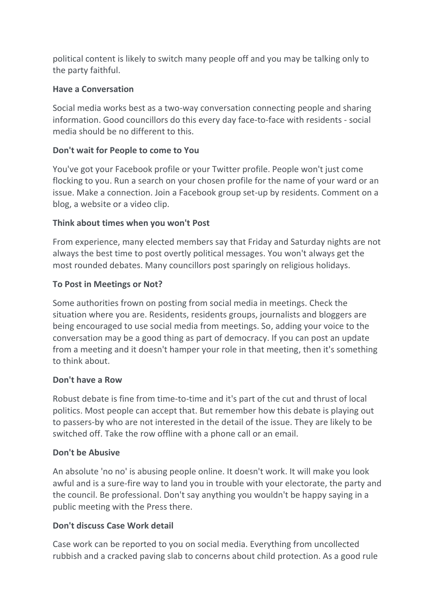political content is likely to switch many people off and you may be talking only to the party faithful.

## **Have a Conversation**

Social media works best as a two-way conversation connecting people and sharing information. Good councillors do this every day face-to-face with residents - social media should be no different to this.

## **Don't wait for People to come to You**

You've got your Facebook profile or your Twitter profile. People won't just come flocking to you. Run a search on your chosen profile for the name of your ward or an issue. Make a connection. Join a Facebook group set-up by residents. Comment on a blog, a website or a video clip.

## **Think about times when you won't Post**

From experience, many elected members say that Friday and Saturday nights are not always the best time to post overtly political messages. You won't always get the most rounded debates. Many councillors post sparingly on religious holidays.

## **To Post in Meetings or Not?**

Some authorities frown on posting from social media in meetings. Check the situation where you are. Residents, residents groups, journalists and bloggers are being encouraged to use social media from meetings. So, adding your voice to the conversation may be a good thing as part of democracy. If you can post an update from a meeting and it doesn't hamper your role in that meeting, then it's something to think about.

### **Don't have a Row**

Robust debate is fine from time-to-time and it's part of the cut and thrust of local politics. Most people can accept that. But remember how this debate is playing out to passers-by who are not interested in the detail of the issue. They are likely to be switched off. Take the row offline with a phone call or an email.

### **Don't be Abusive**

An absolute 'no no' is abusing people online. It doesn't work. It will make you look awful and is a sure-fire way to land you in trouble with your electorate, the party and the council. Be professional. Don't say anything you wouldn't be happy saying in a public meeting with the Press there.

# **Don't discuss Case Work detail**

Case work can be reported to you on social media. Everything from uncollected rubbish and a cracked paving slab to concerns about child protection. As a good rule